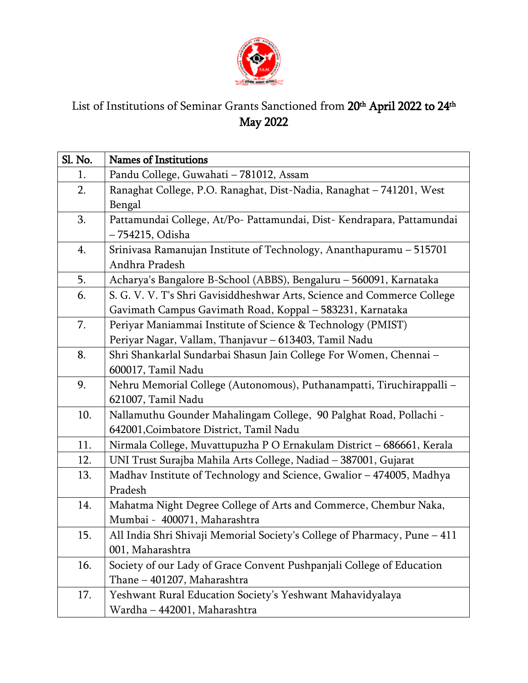

## List of Institutions of Seminar Grants Sanctioned from **20<sup>th</sup> April 2022 to 24<sup>th</sup>** May 2022

| Sl. No. | <b>Names of Institutions</b>                                                                                                         |
|---------|--------------------------------------------------------------------------------------------------------------------------------------|
| 1.      | Pandu College, Guwahati - 781012, Assam                                                                                              |
| 2.      | Ranaghat College, P.O. Ranaghat, Dist-Nadia, Ranaghat - 741201, West<br>Bengal                                                       |
| 3.      | Pattamundai College, At/Po- Pattamundai, Dist- Kendrapara, Pattamundai<br>- 754215, Odisha                                           |
| 4.      | Srinivasa Ramanujan Institute of Technology, Ananthapuramu - 515701<br>Andhra Pradesh                                                |
| 5.      | Acharya's Bangalore B-School (ABBS), Bengaluru - 560091, Karnataka                                                                   |
| 6.      | S. G. V. V. T's Shri Gavisiddheshwar Arts, Science and Commerce College<br>Gavimath Campus Gavimath Road, Koppal - 583231, Karnataka |
| 7.      | Periyar Maniammai Institute of Science & Technology (PMIST)<br>Periyar Nagar, Vallam, Thanjavur - 613403, Tamil Nadu                 |
| 8.      | Shri Shankarlal Sundarbai Shasun Jain College For Women, Chennai -<br>600017, Tamil Nadu                                             |
| 9.      | Nehru Memorial College (Autonomous), Puthanampatti, Tiruchirappalli -<br>621007, Tamil Nadu                                          |
| 10.     | Nallamuthu Gounder Mahalingam College, 90 Palghat Road, Pollachi -<br>642001, Coimbatore District, Tamil Nadu                        |
| 11.     | Nirmala College, Muvattupuzha P O Ernakulam District - 686661, Kerala                                                                |
| 12.     | UNI Trust Surajba Mahila Arts College, Nadiad - 387001, Gujarat                                                                      |
| 13.     | Madhav Institute of Technology and Science, Gwalior - 474005, Madhya<br>Pradesh                                                      |
| 14.     | Mahatma Night Degree College of Arts and Commerce, Chembur Naka,<br>Mumbai - 400071, Maharashtra                                     |
| 15.     | All India Shri Shivaji Memorial Society's College of Pharmacy, Pune – 411<br>001, Maharashtra                                        |
| 16.     | Society of our Lady of Grace Convent Pushpanjali College of Education<br>Thane - 401207, Maharashtra                                 |
| 17.     | Yeshwant Rural Education Society's Yeshwant Mahavidyalaya<br>Wardha - 442001, Maharashtra                                            |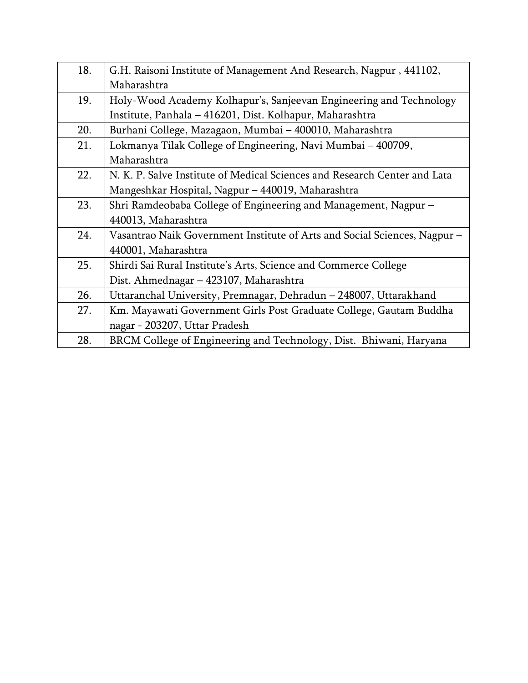| 18. | G.H. Raisoni Institute of Management And Research, Nagpur, 441102,        |
|-----|---------------------------------------------------------------------------|
|     | Maharashtra                                                               |
| 19. | Holy-Wood Academy Kolhapur's, Sanjeevan Engineering and Technology        |
|     | Institute, Panhala - 416201, Dist. Kolhapur, Maharashtra                  |
| 20. | Burhani College, Mazagaon, Mumbai - 400010, Maharashtra                   |
| 21. | Lokmanya Tilak College of Engineering, Navi Mumbai - 400709,              |
|     | Maharashtra                                                               |
| 22. | N. K. P. Salve Institute of Medical Sciences and Research Center and Lata |
|     | Mangeshkar Hospital, Nagpur – 440019, Maharashtra                         |
| 23. | Shri Ramdeobaba College of Engineering and Management, Nagpur -           |
|     | 440013, Maharashtra                                                       |
| 24. | Vasantrao Naik Government Institute of Arts and Social Sciences, Nagpur – |
|     | 440001, Maharashtra                                                       |
| 25. | Shirdi Sai Rural Institute's Arts, Science and Commerce College           |
|     | Dist. Ahmednagar - 423107, Maharashtra                                    |
| 26. | Uttaranchal University, Premnagar, Dehradun - 248007, Uttarakhand         |
| 27. | Km. Mayawati Government Girls Post Graduate College, Gautam Buddha        |
|     | nagar - 203207, Uttar Pradesh                                             |
| 28. | BRCM College of Engineering and Technology, Dist. Bhiwani, Haryana        |